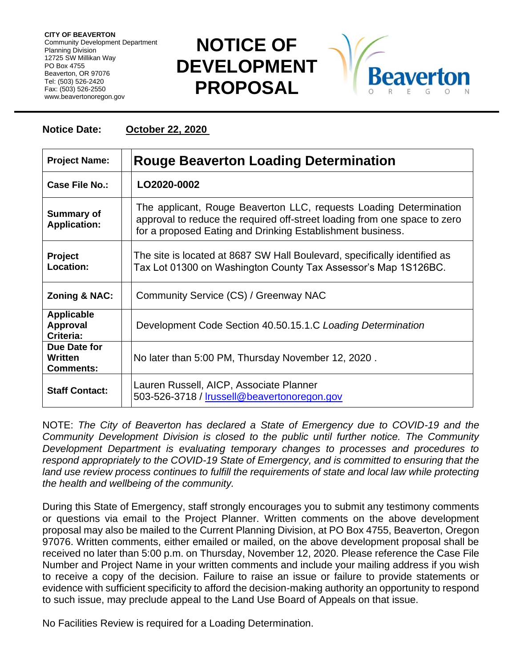**CITY OF BEAVERTON** Community Development Department Planning Division 12725 SW Millikan Way PO Box 4755 Beaverton, OR 97076 Tel: (503) 526-2420 Fax: (503) 526-2550 www.beavertonoregon.gov

## **NOTICE OF DEVELOPMENT PROPOSAL**



## **Notice Date: October 22, 2020**

| <b>Project Name:</b>                              | <b>Rouge Beaverton Loading Determination</b>                                                                                                                                                                  |
|---------------------------------------------------|---------------------------------------------------------------------------------------------------------------------------------------------------------------------------------------------------------------|
| <b>Case File No.:</b>                             | LO2020-0002                                                                                                                                                                                                   |
| <b>Summary of</b><br><b>Application:</b>          | The applicant, Rouge Beaverton LLC, requests Loading Determination<br>approval to reduce the required off-street loading from one space to zero<br>for a proposed Eating and Drinking Establishment business. |
| <b>Project</b><br>Location:                       | The site is located at 8687 SW Hall Boulevard, specifically identified as<br>Tax Lot 01300 on Washington County Tax Assessor's Map 1S126BC.                                                                   |
| Zoning & NAC:                                     | Community Service (CS) / Greenway NAC                                                                                                                                                                         |
| <b>Applicable</b><br><b>Approval</b><br>Criteria: | Development Code Section 40.50.15.1.C Loading Determination                                                                                                                                                   |
| Due Date for<br>Written<br><b>Comments:</b>       | No later than 5:00 PM, Thursday November 12, 2020.                                                                                                                                                            |
| <b>Staff Contact:</b>                             | Lauren Russell, AICP, Associate Planner<br>503-526-3718 / Irussell@beavertonoregon.gov                                                                                                                        |

NOTE: *The City of Beaverton has declared a State of Emergency due to COVID-19 and the Community Development Division is closed to the public until further notice. The Community Development Department is evaluating temporary changes to processes and procedures to respond appropriately to the COVID-19 State of Emergency, and is committed to ensuring that the*  land use review process continues to fulfill the requirements of state and local law while protecting *the health and wellbeing of the community.*

During this State of Emergency, staff strongly encourages you to submit any testimony comments or questions via email to the Project Planner. Written comments on the above development proposal may also be mailed to the Current Planning Division, at PO Box 4755, Beaverton, Oregon 97076. Written comments, either emailed or mailed, on the above development proposal shall be received no later than 5:00 p.m. on Thursday, November 12, 2020. Please reference the Case File Number and Project Name in your written comments and include your mailing address if you wish to receive a copy of the decision. Failure to raise an issue or failure to provide statements or evidence with sufficient specificity to afford the decision-making authority an opportunity to respond to such issue, may preclude appeal to the Land Use Board of Appeals on that issue.

No Facilities Review is required for a Loading Determination.